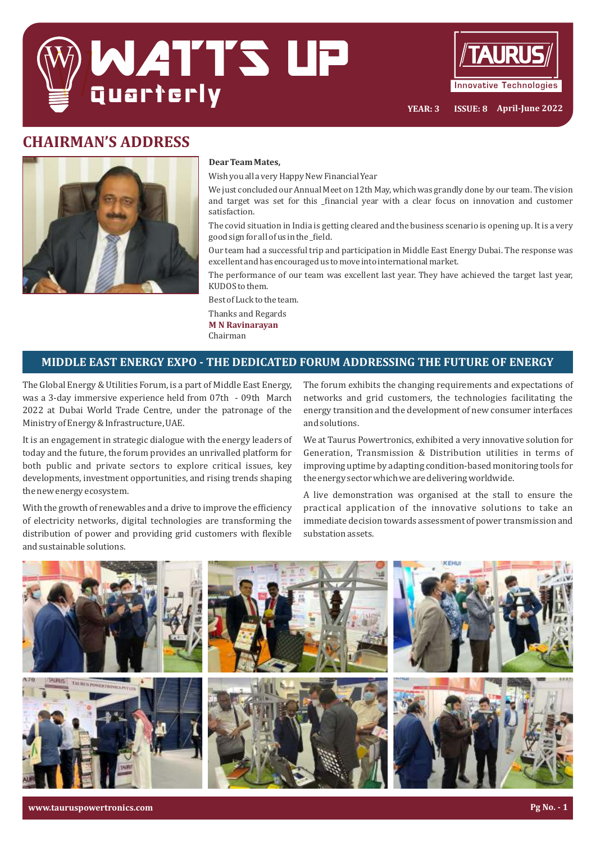



**YEAR: 3 ISSUE: 8 April-June 2022**

# **CHAIRMAN'S ADDRESS**



#### **Dear Team Mates,**

Wish you all a very Happy New Financial Year

We just concluded our Annual Meet on 12th May, which was grandly done by our team. The vision and target was set for this \_financial year with a clear focus on innovation and customer satisfaction.

The covid situation in India is getting cleared and the business scenario is opening up. It is a very good sign for all of us in the\_field.

Our team had a successful trip and participation in Middle East Energy Dubai. The response was excellent and has encouraged us to move into international market.

The performance of our team was excellent last year. They have achieved the target last year, KUDOS to them.

Best of Luck to the team.

Thanks and Regards **M** N Ravinarayan Chairman

### **MIDDLE EAST ENERGY EXPO - THE DEDICATED FORUM ADDRESSING THE FUTURE OF ENERGY**

The Global Energy & Utilities Forum, is a part of Middle East Energy, was a 3-day immersive experience held from 07th - 09th March 2022 at Dubai World Trade Centre, under the patronage of the Ministry of Energy & Infrastructure, UAE.

It is an engagement in strategic dialogue with the energy leaders of today and the future, the forum provides an unrivalled platform for both public and private sectors to explore critical issues, key developments, investment opportunities, and rising trends shaping the new energy ecosystem.

With the growth of renewables and a drive to improve the efficiency of electricity networks, digital technologies are transforming the distribution of power and providing grid customers with flexible and sustainable solutions.

The forum exhibits the changing requirements and expectations of networks and grid customers, the technologies facilitating the energy transition and the development of new consumer interfaces and solutions.

We at Taurus Powertronics, exhibited a very innovative solution for Generation, Transmission & Distribution utilities in terms of improving uptime by adapting condition-based monitoring tools for the energy sector which we are delivering worldwide.

A live demonstration was organised at the stall to ensure the practical application of the innovative solutions to take an immediate decision towards assessment of power transmission and substation assets.



**www.tauruspowertronics.com Pg No. - 1**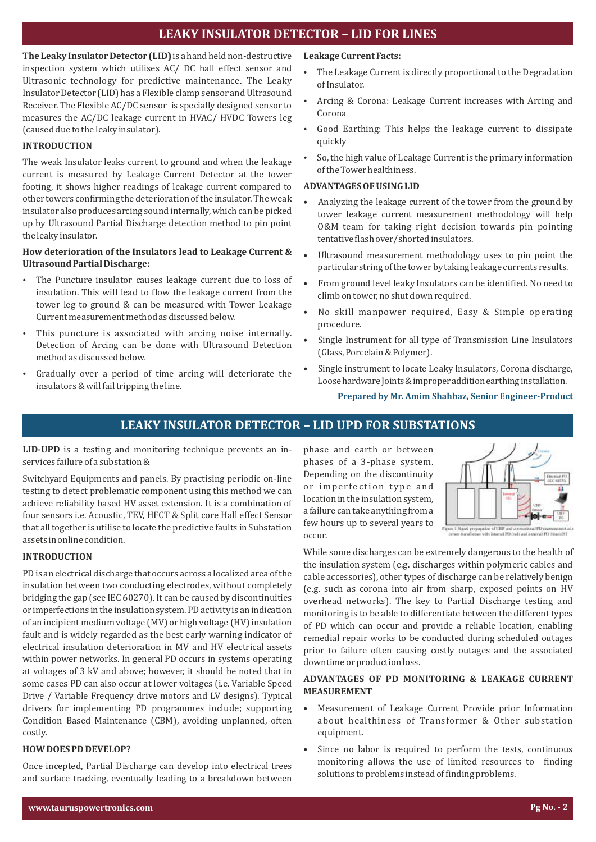## **LEAKY INSULATOR DETECTOR - LID FOR LINES**

**The Leaky Insulator Detector (LID)** is a hand held non-destructive inspection system which utilises AC/ DC hall effect sensor and Ultrasonic technology for predictive maintenance. The Leaky Insulator Detector (LID) has a Flexible clamp sensor and Ultrasound Receiver. The Flexible AC/DC sensor is specially designed sensor to measures the AC/DC leakage current in HVAC/ HVDC Towers leg (caused due to the leaky insulator).

#### **INTRODUCTION**

The weak Insulator leaks current to ground and when the leakage current is measured by Leakage Current Detector at the tower footing, it shows higher readings of leakage current compared to other towers conirming the deterioration of the insulator. The weak insulator also produces arcing sound internally, which can be picked up by Ultrasound Partial Discharge detection method to pin point the leaky insulator.

#### How deterioration of the Insulators lead to Leakage Current & **Ultrasound Partial Discharge:**

- The Puncture insulator causes leakage current due to loss of insulation. This will lead to flow the leakage current from the tower leg to ground & can be measured with Tower Leakage Current measurement method as discussed below.
- This puncture is associated with arcing noise internally. Detection of Arcing can be done with Ultrasound Detection method as discussed below.
- Gradually over a period of time arcing will deteriorate the insulators & will fail tripping the line.

#### Leakage Current Facts:

- The Leakage Current is directly proportional to the Degradation of Insulator.
- Arcing & Corona: Leakage Current increases with Arcing and Corona
- Good Earthing: This helps the leakage current to dissipate quickly
- So, the high value of Leakage Current is the primary information of the Tower healthiness.

#### **ADVANTAGES OF USING LID**

- Analyzing the leakage current of the tower from the ground by tower leakage current measurement methodology will help O&M team for taking right decision towards pin pointing tentative flash over/shorted insulators.
- Ultrasound measurement methodology uses to pin point the particular string of the tower by taking leakage currents results.
- From ground level leaky Insulators can be identiied. No need to climb on tower, no shut down required.
- No skill manpower required, Easy & Simple operating procedure.
- Single Instrument for all type of Transmission Line Insulators (Glass, Porcelain & Polymer).
- Single instrument to locate Leaky Insulators, Corona discharge, Loose hardware Joints & improper addition earthing installation.

#### Prepared by Mr. Amim Shahbaz, Senior Engineer-Product

### **LEAKY INSULATOR DETECTOR - LID UPD FOR SUBSTATIONS**

**LID-UPD** is a testing and monitoring technique prevents an inservices failure of a substation &

Switchyard Equipments and panels. By practising periodic on-line testing to detect problematic component using this method we can achieve reliability based HV asset extension. It is a combination of four sensors i.e. Acoustic, TEV, HFCT & Split core Hall effect Sensor that all together is utilise to locate the predictive faults in Substation assets in online condition.

#### **INTRODUCTION**

PD is an electrical discharge that occurs across a localized area of the insulation between two conducting electrodes, without completely bridging the gap (see IEC 60270). It can be caused by discontinuities or imperfections in the insulation system. PD activity is an indication of an incipient medium voltage (MV) or high voltage (HV) insulation fault and is widely regarded as the best early warning indicator of electrical insulation deterioration in MV and HV electrical assets within power networks. In general PD occurs in systems operating at voltages of 3 kV and above; however, it should be noted that in some cases PD can also occur at lower voltages (i.e. Variable Speed Drive / Variable Frequency drive motors and LV designs). Typical drivers for implementing PD programmes include; supporting Condition Based Maintenance (CBM), avoiding unplanned, often costly.

#### **HOW DOES PD DEVELOP?**

Once incepted, Partial Discharge can develop into electrical trees and surface tracking, eventually leading to a breakdown between phase and earth or between phases of a 3-phase system. Depending on the discontinuity or imperfection type and location in the insulation system, a failure can take anything from a few hours up to several years to occur.



<sup>.&</sup>lt;br>Think propagation of LBIP and consultional PD measurement.<br>New transformer with internal PD costs and outernal PD chass (FI)

While some discharges can be extremely dangerous to the health of the insulation system (e.g. discharges within polymeric cables and cable accessories), other types of discharge can be relatively benign (e.g. such as corona into air from sharp, exposed points on HV overhead networks). The key to Partial Discharge testing and monitoring is to be able to differentiate between the different types of PD which can occur and provide a reliable location, enabling remedial repair works to be conducted during scheduled outages prior to failure often causing costly outages and the associated downtime or production loss.

#### **ADVANTAGES OF PD MONITORING & LEAKAGE CURRENT MEASUREMENT**

- Measurement of Leakage Current Provide prior Information about healthiness of Transformer & Other substation equipment.
- Since no labor is required to perform the tests, continuous monitoring allows the use of limited resources to finding solutions to problems instead of finding problems.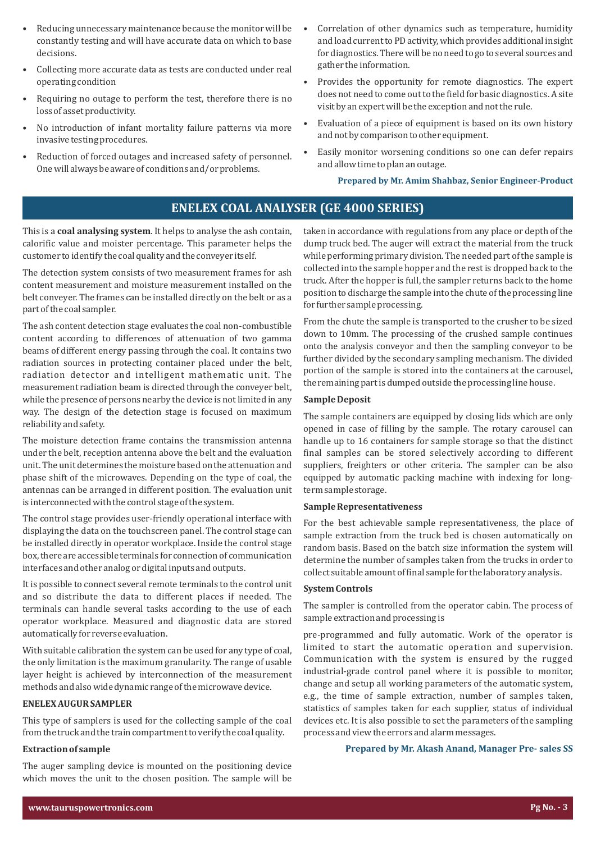- Reducing unnecessary maintenance because the monitor will be constantly testing and will have accurate data on which to base decisions.
- Collecting more accurate data as tests are conducted under real operating condition
- Requiring no outage to perform the test, therefore there is no loss of asset productivity.
- No introduction of infant mortality failure patterns via more invasive testing procedures.
- Reduction of forced outages and increased safety of personnel. One will always be aware of conditions and/or problems.
- Correlation of other dynamics such as temperature, humidity and load current to PD activity, which provides additional insight for diagnostics. There will be no need to go to several sources and gather the information.
- Provides the opportunity for remote diagnostics. The expert does not need to come out to the ield for basic diagnostics. A site visit by an expert will be the exception and not the rule.
- Evaluation of a piece of equipment is based on its own history and not by comparison to other equipment.
- Easily monitor worsening conditions so one can defer repairs and allow time to plan an outage.

**Prepared by Mr. Amim Shahbaz, Senior Engineer-Product**

## **ENELEX COAL ANALYSER (GE 4000 SERIES)**

This is a **coal analysing system**. It helps to analyse the ash contain, calorific value and moister percentage. This parameter helps the customer to identify the coal quality and the conveyer itself.

The detection system consists of two measurement frames for ash content measurement and moisture measurement installed on the belt conveyer. The frames can be installed directly on the belt or as a part of the coal sampler.

The ash content detection stage evaluates the coal non-combustible content according to differences of attenuation of two gamma beams of different energy passing through the coal. It contains two radiation sources in protecting container placed under the belt, radiation detector and intelligent mathematic unit. The measurement radiation beam is directed through the conveyer belt, while the presence of persons nearby the device is not limited in any way. The design of the detection stage is focused on maximum reliability and safety.

The moisture detection frame contains the transmission antenna under the belt, reception antenna above the belt and the evaluation unit. The unit determines the moisture based on the attenuation and phase shift of the microwaves. Depending on the type of coal, the antennas can be arranged in different position. The evaluation unit is interconnected with the control stage of the system.

The control stage provides user-friendly operational interface with displaying the data on the touchscreen panel. The control stage can be installed directly in operator workplace. Inside the control stage box, there are accessible terminals for connection of communication interfaces and other analog or digital inputs and outputs.

It is possible to connect several remote terminals to the control unit and so distribute the data to different places if needed. The terminals can handle several tasks according to the use of each operator workplace. Measured and diagnostic data are stored automatically for reverse evaluation.

With suitable calibration the system can be used for any type of coal, the only limitation is the maximum granularity. The range of usable layer height is achieved by interconnection of the measurement methods and also wide dynamic range of the microwave device.

#### **ENELEX AUGUR SAMPLER**

This type of samplers is used for the collecting sample of the coal from the truck and the train compartment to verify the coal quality.

#### **Extraction of sample**

The auger sampling device is mounted on the positioning device which moves the unit to the chosen position. The sample will be taken in accordance with regulations from any place or depth of the dump truck bed. The auger will extract the material from the truck while performing primary division. The needed part of the sample is collected into the sample hopper and the rest is dropped back to the truck. After the hopper is full, the sampler returns back to the home position to discharge the sample into the chute of the processing line for further sample processing.

From the chute the sample is transported to the crusher to be sized down to 10mm. The processing of the crushed sample continues onto the analysis conveyor and then the sampling conveyor to be further divided by the secondary sampling mechanism. The divided portion of the sample is stored into the containers at the carousel, the remaining part is dumped outside the processing line house.

#### **Sample Deposit**

The sample containers are equipped by closing lids which are only opened in case of illing by the sample. The rotary carousel can handle up to 16 containers for sample storage so that the distinct final samples can be stored selectively according to different suppliers, freighters or other criteria. The sampler can be also equipped by automatic packing machine with indexing for longterm sample storage.

#### **Sample Representativeness**

For the best achievable sample representativeness, the place of sample extraction from the truck bed is chosen automatically on random basis. Based on the batch size information the system will determine the number of samples taken from the trucks in order to collect suitable amount of inal sample for the laboratory analysis.

#### **System Controls**

The sampler is controlled from the operator cabin. The process of sample extraction and processing is

pre-programmed and fully automatic. Work of the operator is limited to start the automatic operation and supervision. Communication with the system is ensured by the rugged industrial-grade control panel where it is possible to monitor, change and setup all working parameters of the automatic system, e.g., the time of sample extraction, number of samples taken, statistics of samples taken for each supplier, status of individual devices etc. It is also possible to set the parameters of the sampling process and view the errors and alarm messages.

#### Prepared by Mr. Akash Anand, Manager Pre- sales SS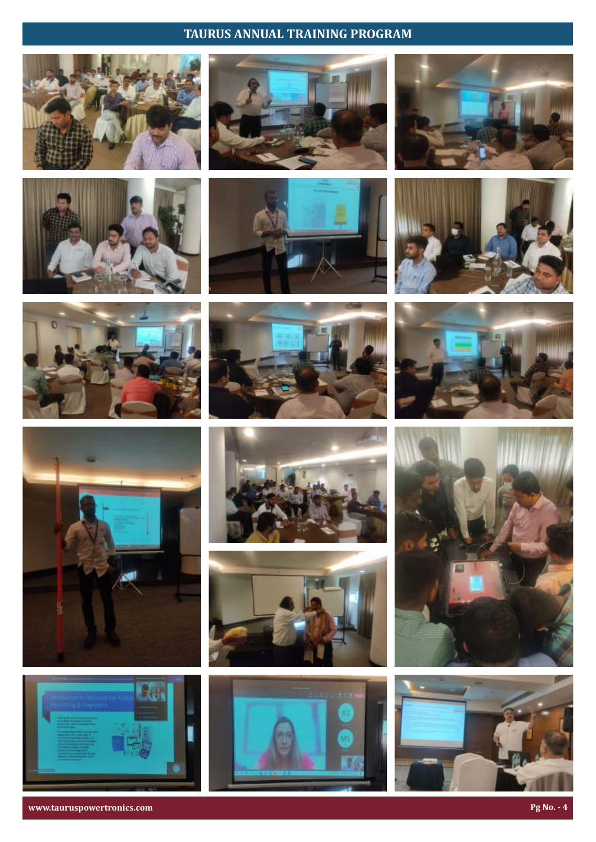# **TAURUS ANNUAL TRAINING PROGRAM**

























**www.tauruspowertronics.com Pg** No. - 4





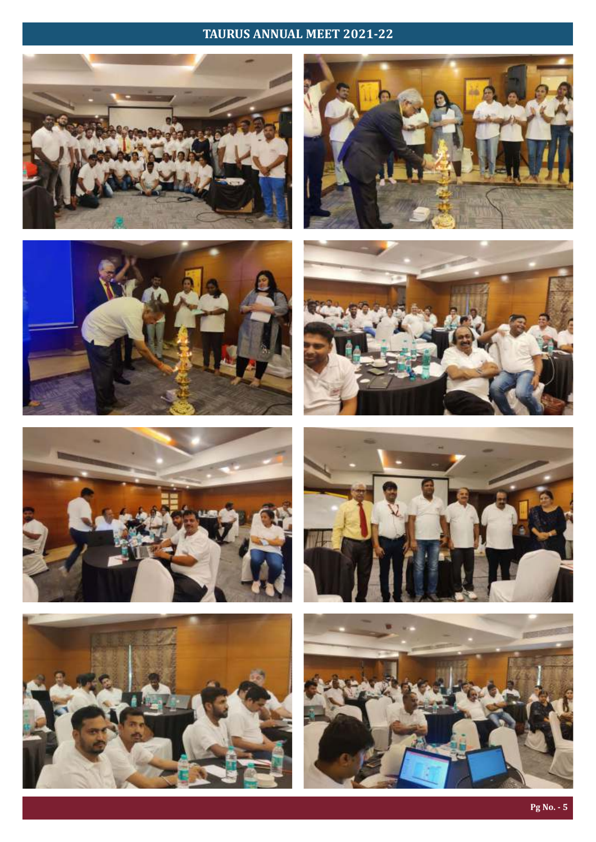# TAURUS ANNUAL MEET 2021-22















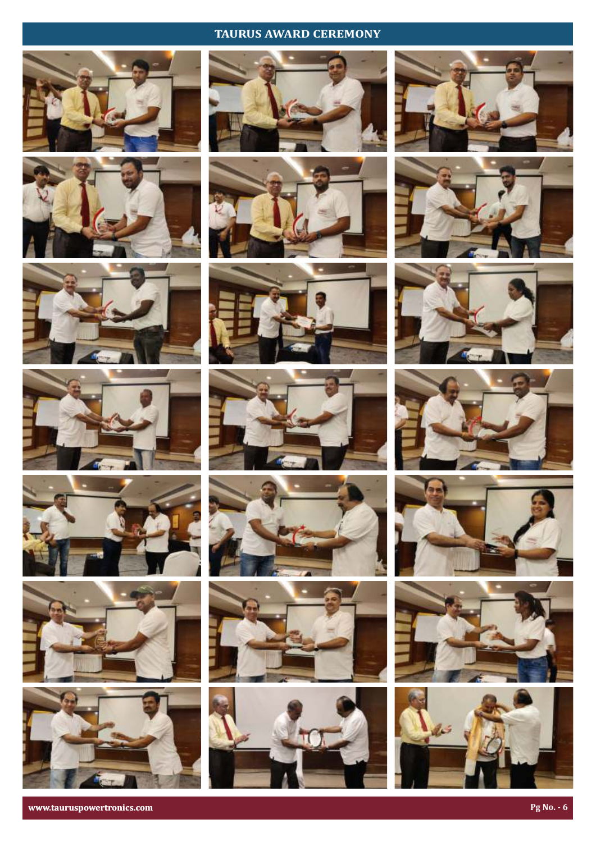# **TAURUS AWARD CEREMONY**











































**www.tauruspowertronics.com Pg** No. - 6